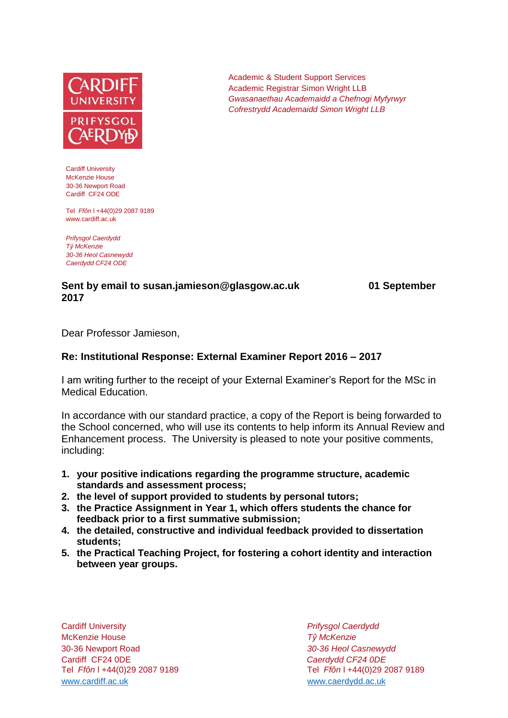

Cardiff University McKenzie House 30-36 Newport Road Cardiff CF24 ODE

Tel *Ffôn* l +44(0)29 2087 9189 www.cardiff.ac.uk

*Prifysgol Caerdydd Tŷ McKenzie 30-36 Heol Casnewydd Caerdydd CF24 ODE*

## **Sent by email to susan.jamieson@glasgow.ac.uk 01 September 2017**

Dear Professor Jamieson,

## **Re: Institutional Response: External Examiner Report 2016 – 2017**

I am writing further to the receipt of your External Examiner's Report for the MSc in Medical Education.

In accordance with our standard practice, a copy of the Report is being forwarded to the School concerned, who will use its contents to help inform its Annual Review and Enhancement process. The University is pleased to note your positive comments, including:

- **1. your positive indications regarding the programme structure, academic standards and assessment process;**
- **2. the level of support provided to students by personal tutors;**
- **3. the Practice Assignment in Year 1, which offers students the chance for feedback prior to a first summative submission;**
- **4. the detailed, constructive and individual feedback provided to dissertation students;**
- **5. the Practical Teaching Project, for fostering a cohort identity and interaction between year groups.**

Cardiff University *Prifysgol Caerdydd* McKenzie House *Tŷ McKenzie* 30-36 Newport Road *30-36 Heol Casnewydd* Cardiff CF24 0DE *Caerdydd CF24 0DE* [www.cardiff.ac.uk](http://www.cardiff.ac.uk/) www.cardiff.ac.uk

Tel *Ffôn* l +44(0)29 2087 9189 Tel *Ffôn* l +44(0)29 2087 9189

Academic & Student Support Services Academic Registrar Simon Wright LLB *Gwasanaethau Academaidd a Chefnogi Myfyrwyr Cofrestrydd Academaidd Simon Wright LLB*